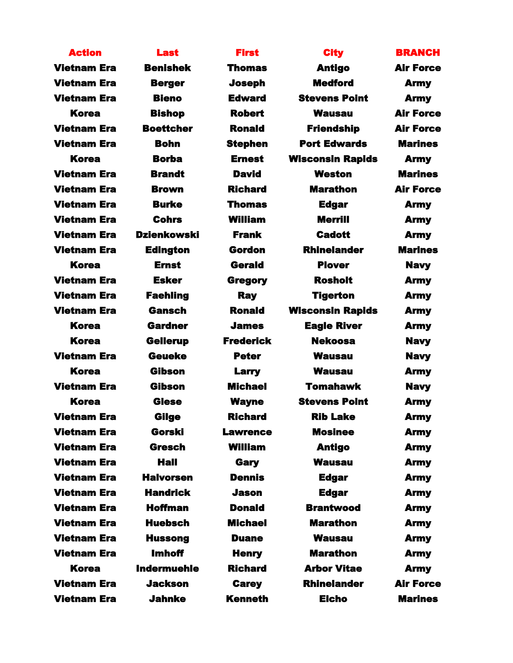| <b>Action</b>      | <b>Last</b>        | <b>First</b>     | <b>City</b>             | <b>BRANCH</b>    |
|--------------------|--------------------|------------------|-------------------------|------------------|
| <b>Vietnam Era</b> | <b>Benishek</b>    | <b>Thomas</b>    | <b>Antigo</b>           | <b>Air Force</b> |
| <b>Vietnam Era</b> | <b>Berger</b>      | <b>Joseph</b>    | <b>Medford</b>          | <b>Army</b>      |
| <b>Vietnam Era</b> | <b>Bieno</b>       | <b>Edward</b>    | <b>Stevens Point</b>    | <b>Army</b>      |
| <b>Korea</b>       | <b>Bishop</b>      | <b>Robert</b>    | <b>Wausau</b>           | <b>Air Force</b> |
| <b>Vietnam Era</b> | <b>Boettcher</b>   | <b>Ronald</b>    | <b>Friendship</b>       | <b>Air Force</b> |
| <b>Vietnam Era</b> | <b>Bohn</b>        | <b>Stephen</b>   | <b>Port Edwards</b>     | <b>Marines</b>   |
| <b>Korea</b>       | <b>Borba</b>       | <b>Ernest</b>    | <b>Wisconsin Rapids</b> | <b>Army</b>      |
| <b>Vietnam Era</b> | <b>Brandt</b>      | <b>David</b>     | <b>Weston</b>           | <b>Marines</b>   |
| <b>Vietnam Era</b> | <b>Brown</b>       | <b>Richard</b>   | <b>Marathon</b>         | <b>Air Force</b> |
| <b>Vietnam Era</b> | <b>Burke</b>       | Thomas           | <b>Edgar</b>            | <b>Army</b>      |
| <b>Vietnam Era</b> | <b>Cohrs</b>       | <b>William</b>   | <b>Merrill</b>          | <b>Army</b>      |
| <b>Vietnam Era</b> | <b>Dzienkowski</b> | <b>Frank</b>     | <b>Cadott</b>           | <b>Army</b>      |
| <b>Vietnam Era</b> | <b>Edington</b>    | Gordon           | <b>Rhinelander</b>      | <b>Marines</b>   |
| <b>Korea</b>       | <b>Ernst</b>       | <b>Gerald</b>    | <b>Plover</b>           | <b>Navy</b>      |
| <b>Vietnam Era</b> | <b>Esker</b>       | <b>Gregory</b>   | <b>Rosholt</b>          | <b>Army</b>      |
| <b>Vietnam Era</b> | <b>Faehling</b>    | <b>Ray</b>       | <b>Tigerton</b>         | <b>Army</b>      |
| <b>Vietnam Era</b> | <b>Gansch</b>      | <b>Ronald</b>    | <b>Wisconsin Rapids</b> | <b>Army</b>      |
| <b>Korea</b>       | <b>Gardner</b>     | <b>James</b>     | <b>Eagle River</b>      | <b>Army</b>      |
| <b>Korea</b>       | <b>Gellerup</b>    | <b>Frederick</b> | <b>Nekoosa</b>          | <b>Navy</b>      |
| <b>Vietnam Era</b> | <b>Geueke</b>      | <b>Peter</b>     | <b>Wausau</b>           | <b>Navy</b>      |
| <b>Korea</b>       | Gibson             | <b>Larry</b>     | <b>Wausau</b>           | <b>Army</b>      |
| <b>Vietnam Era</b> | <b>Gibson</b>      | <b>Michael</b>   | <b>Tomahawk</b>         | <b>Navy</b>      |
| <b>Korea</b>       | <b>Giese</b>       | <b>Wayne</b>     | <b>Stevens Point</b>    | <b>Army</b>      |
| <b>Vietnam Era</b> | Gilge              | <b>Richard</b>   | <b>Rib Lake</b>         | <b>Army</b>      |
| <b>Vietnam Era</b> | Gorski             | <b>Lawrence</b>  | <b>Mosinee</b>          | <b>Army</b>      |
| <b>Vietnam Era</b> | <b>Gresch</b>      | <b>William</b>   | <b>Antigo</b>           | <b>Army</b>      |
| <b>Vietnam Era</b> | <b>Hall</b>        | Gary             | <b>Wausau</b>           | <b>Army</b>      |
| <b>Vietnam Era</b> | <b>Halvorsen</b>   | <b>Dennis</b>    | <b>Edgar</b>            | <b>Army</b>      |
| <b>Vietnam Era</b> | <b>Handrick</b>    | <b>Jason</b>     | <b>Edgar</b>            | <b>Army</b>      |
| <b>Vietnam Era</b> | <b>Hoffman</b>     | <b>Donald</b>    | <b>Brantwood</b>        | <b>Army</b>      |
| <b>Vietnam Era</b> | <b>Huebsch</b>     | <b>Michael</b>   | <b>Marathon</b>         | <b>Army</b>      |
| <b>Vietnam Era</b> | <b>Hussong</b>     | <b>Duane</b>     | <b>Wausau</b>           | <b>Army</b>      |
| <b>Vietnam Era</b> | <b>Imhoff</b>      | <b>Henry</b>     | <b>Marathon</b>         | <b>Army</b>      |
| Korea              | <b>Indermuehle</b> | <b>Richard</b>   | <b>Arbor Vitae</b>      | <b>Army</b>      |
| <b>Vietnam Era</b> | <b>Jackson</b>     | <b>Carey</b>     | <b>Rhinelander</b>      | <b>Air Force</b> |
| <b>Vietnam Era</b> | <b>Jahnke</b>      | <b>Kenneth</b>   | <b>Elcho</b>            | <b>Marines</b>   |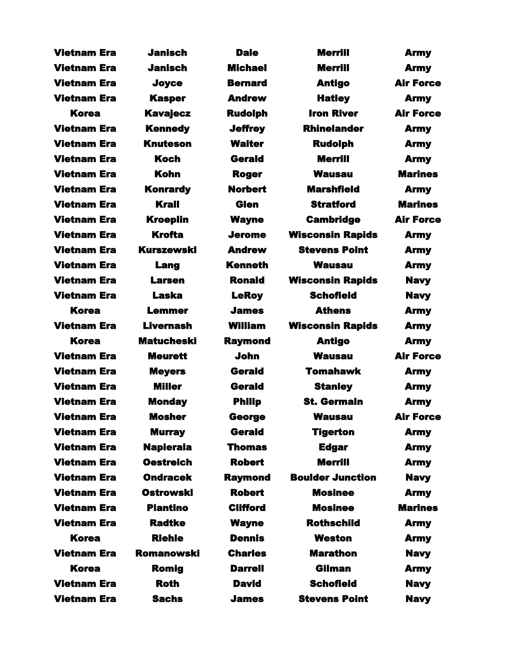| <b>Vietnam Era</b> | <b>Janisch</b>    | <b>Dale</b>     | <b>Merrill</b>          | <b>Army</b>      |
|--------------------|-------------------|-----------------|-------------------------|------------------|
| <b>Vietnam Era</b> | <b>Janisch</b>    | <b>Michael</b>  | <b>Merrill</b>          | <b>Army</b>      |
| <b>Vietnam Era</b> | Joyce             | <b>Bernard</b>  | <b>Antigo</b>           | <b>Air Force</b> |
| <b>Vietnam Era</b> | <b>Kasper</b>     | <b>Andrew</b>   | <b>Hatley</b>           | <b>Army</b>      |
| <b>Korea</b>       | <b>Kavajecz</b>   | <b>Rudolph</b>  | <b>Iron River</b>       | <b>Air Force</b> |
| <b>Vietnam Era</b> | <b>Kennedy</b>    | <b>Jeffrey</b>  | <b>Rhinelander</b>      | <b>Army</b>      |
| <b>Vietnam Era</b> | <b>Knuteson</b>   | <b>Walter</b>   | <b>Rudolph</b>          | <b>Army</b>      |
| <b>Vietnam Era</b> | <b>Koch</b>       | Gerald          | <b>Merrill</b>          | <b>Army</b>      |
| <b>Vietnam Era</b> | <b>Kohn</b>       | <b>Roger</b>    | <b>Wausau</b>           | <b>Marines</b>   |
| <b>Vietnam Era</b> | <b>Konrardy</b>   | <b>Norbert</b>  | <b>Marshfield</b>       | <b>Army</b>      |
| <b>Vietnam Era</b> | <b>Krall</b>      | <b>Glen</b>     | <b>Stratford</b>        | <b>Marines</b>   |
| <b>Vietnam Era</b> | <b>Kroeplin</b>   | <b>Wayne</b>    | <b>Cambridge</b>        | <b>Air Force</b> |
| <b>Vietnam Era</b> | <b>Krofta</b>     | Jerome          | <b>Wisconsin Rapids</b> | <b>Army</b>      |
| <b>Vietnam Era</b> | <b>Kurszewski</b> | <b>Andrew</b>   | <b>Stevens Point</b>    | <b>Army</b>      |
| <b>Vietnam Era</b> | Lang              | <b>Kenneth</b>  | <b>Wausau</b>           | <b>Army</b>      |
| <b>Vietnam Era</b> | <b>Larsen</b>     | <b>Ronald</b>   | <b>Wisconsin Rapids</b> | <b>Navy</b>      |
| <b>Vietnam Era</b> | <b>Laska</b>      | <b>LeRoy</b>    | <b>Schofield</b>        | <b>Navy</b>      |
| Korea              | <b>Lemmer</b>     | <b>James</b>    | <b>Athens</b>           | <b>Army</b>      |
| <b>Vietnam Era</b> | <b>Livernash</b>  | <b>William</b>  | <b>Wisconsin Rapids</b> | <b>Army</b>      |
| Korea              | <b>Matucheski</b> | <b>Raymond</b>  | <b>Antigo</b>           | <b>Army</b>      |
| <b>Vietnam Era</b> | <b>Meurett</b>    | <b>John</b>     | <b>Wausau</b>           | <b>Air Force</b> |
| <b>Vietnam Era</b> | <b>Meyers</b>     | Gerald          | <b>Tomahawk</b>         | <b>Army</b>      |
| <b>Vietnam Era</b> | <b>Miller</b>     | Gerald          | <b>Stanley</b>          | <b>Army</b>      |
| <b>Vietnam Era</b> | <b>Monday</b>     | <b>Philip</b>   | <b>St. Germain</b>      | <b>Army</b>      |
| <b>Vietnam Era</b> | <b>Mosher</b>     | George          | <b>Wausau</b>           | <b>Air Force</b> |
| <b>Vietnam Era</b> | <b>Murray</b>     | <b>Gerald</b>   | <b>Tigerton</b>         | <b>Army</b>      |
| <b>Vietnam Era</b> | <b>Napierala</b>  | <b>Thomas</b>   | <b>Edgar</b>            | <b>Army</b>      |
| <b>Vietnam Era</b> | <b>Oestreich</b>  | <b>Robert</b>   | <b>Merrill</b>          | <b>Army</b>      |
| <b>Vietnam Era</b> | <b>Ondracek</b>   | <b>Raymond</b>  | <b>Boulder Junction</b> | <b>Navy</b>      |
| <b>Vietnam Era</b> | <b>Ostrowski</b>  | <b>Robert</b>   | <b>Mosinee</b>          | <b>Army</b>      |
| <b>Vietnam Era</b> | <b>Piantino</b>   | <b>Clifford</b> | <b>Mosinee</b>          | <b>Marines</b>   |
| <b>Vietnam Era</b> | <b>Radtke</b>     | <b>Wayne</b>    | <b>Rothschild</b>       | <b>Army</b>      |
| <b>Korea</b>       | <b>Riehle</b>     | <b>Dennis</b>   | <b>Weston</b>           | <b>Army</b>      |
| <b>Vietnam Era</b> | <b>Romanowski</b> | <b>Charles</b>  | <b>Marathon</b>         | <b>Navy</b>      |
| <b>Korea</b>       | <b>Romig</b>      | <b>Darrell</b>  | Gilman                  | <b>Army</b>      |
| <b>Vietnam Era</b> | <b>Roth</b>       | <b>David</b>    | <b>Schofield</b>        | <b>Navy</b>      |
| <b>Vietnam Era</b> | <b>Sachs</b>      | <b>James</b>    | <b>Stevens Point</b>    | <b>Navy</b>      |